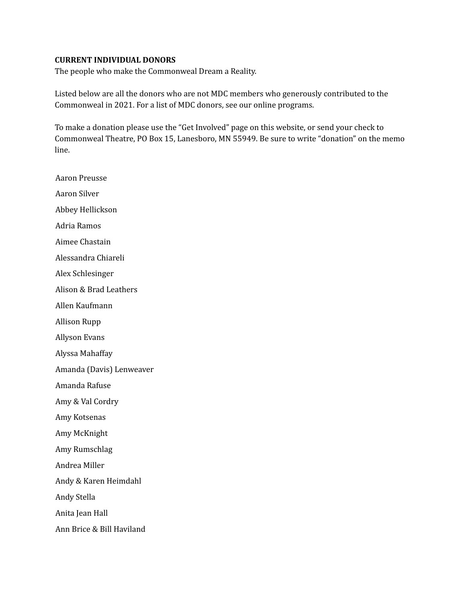## **CURRENT INDIVIDUAL DONORS**

The people who make the Commonweal Dream a Reality.

Listed below are all the donors who are not MDC members who generously contributed to the Commonweal in 2021. For a list of MDC donors, see our online programs.

To make a donation please use the "Get Involved" page on this website, or send your check to Commonweal Theatre, PO Box 15, Lanesboro, MN 55949. Be sure to write "donation" on the memo line.

Aaron Preusse Aaron Silver Abbey Hellickson Adria Ramos Aimee Chastain Alessandra Chiareli Alex Schlesinger Alison & Brad Leathers Allen Kaufmann Allison Rupp Allyson Evans Alyssa Mahaffay Amanda (Davis) Lenweaver Amanda Rafuse Amy & Val Cordry Amy Kotsenas Amy McKnight Amy Rumschlag Andrea Miller Andy & Karen Heimdahl Andy Stella Anita Jean Hall Ann Brice & Bill Haviland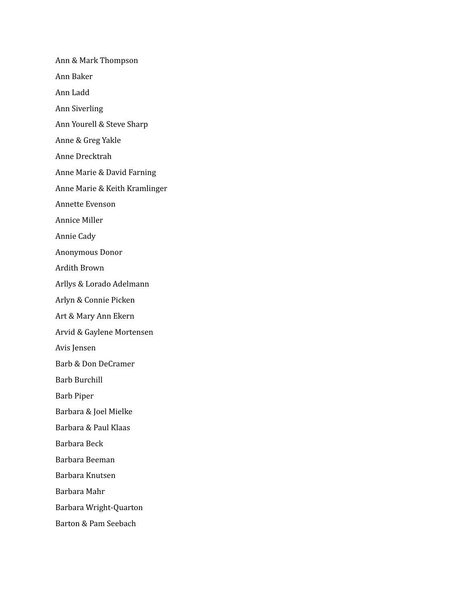Ann & Mark Thompson Ann Baker Ann Ladd Ann Siverling Ann Yourell & Steve Sharp Anne & Greg Yakle Anne Drecktrah Anne Marie & David Farning Anne Marie & Keith Kramlinger Annette Evenson Annice Miller Annie Cady Anonymous Donor Ardith Brown Arllys & Lorado Adelmann Arlyn & Connie Picken Art & Mary Ann Ekern Arvid & Gaylene Mortensen Avis Jensen Barb & Don DeCramer Barb Burchill Barb Piper Barbara & Joel Mielke Barbara & Paul Klaas Barbara Beck Barbara Beeman Barbara Knutsen Barbara Mahr Barbara Wright-Quarton Barton & Pam Seebach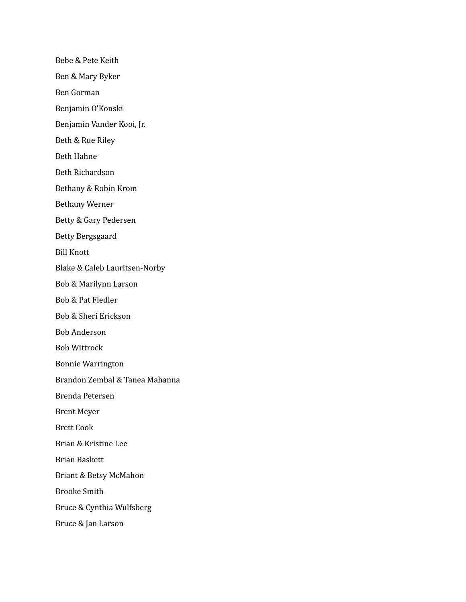Bebe & Pete Keith Ben & Mary Byker Ben Gorman Benjamin O'Konski Benjamin Vander Kooi, Jr. Beth & Rue Riley Beth Hahne Beth Richardson Bethany & Robin Krom Bethany Werner Betty & Gary Pedersen Betty Bergsgaard Bill Knott Blake & Caleb Lauritsen-Norby Bob & Marilynn Larson Bob & Pat Fiedler Bob & Sheri Erickson Bob Anderson Bob Wittrock Bonnie Warrington Brandon Zembal & Tanea Mahanna Brenda Petersen Brent Meyer Brett Cook Brian & Kristine Lee Brian Baskett Briant & Betsy McMahon Brooke Smith Bruce & Cynthia Wulfsberg Bruce & Jan Larson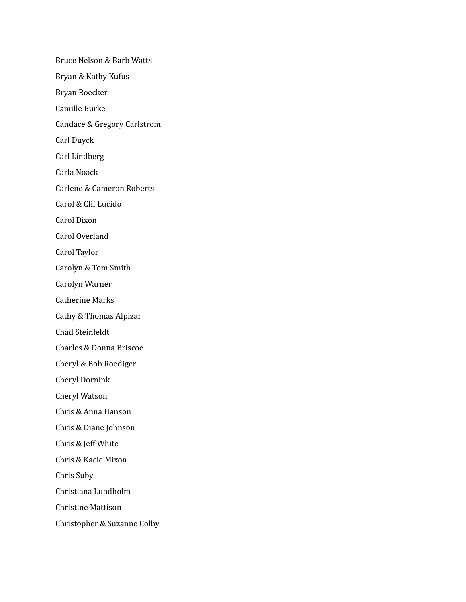Bruce Nelson & Barb Watts Bryan & Kathy Kufus Bryan Roecker Camille Burke Candace & Gregory Carlstrom Carl Duyck Carl Lindberg Carla Noack Carlene & Cameron Roberts Carol & Clif Lucido Carol Dixon Carol Overland Carol Taylor Carolyn & Tom Smith Carolyn Warner Catherine Marks Cathy & Thomas Alpizar Chad Steinfeldt Charles & Donna Briscoe Cheryl & Bob Roediger Cheryl Dornink Cheryl Watson Chris & Anna Hanson Chris & Diane Johnson Chris & Jeff White Chris & Kacie Mixon Chris Suby Christiana Lundholm Christine Mattison Christopher & Suzanne Colby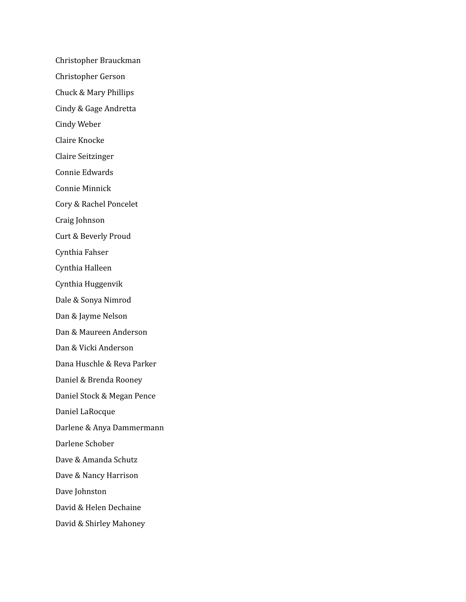Christopher Brauckman Christopher Gerson Chuck & Mary Phillips Cindy & Gage Andretta Cindy Weber Claire Knocke Claire Seitzinger Connie Edwards Connie Minnick Cory & Rachel Poncelet Craig Johnson Curt & Beverly Proud Cynthia Fahser Cynthia Halleen Cynthia Huggenvik Dale & Sonya Nimrod Dan & Jayme Nelson Dan & Maureen Anderson Dan & Vicki Anderson Dana Huschle & Reva Parker Daniel & Brenda Rooney Daniel Stock & Megan Pence Daniel LaRocque Darlene & Anya Dammermann Darlene Schober Dave & Amanda Schutz Dave & Nancy Harrison Dave Johnston David & Helen Dechaine David & Shirley Mahoney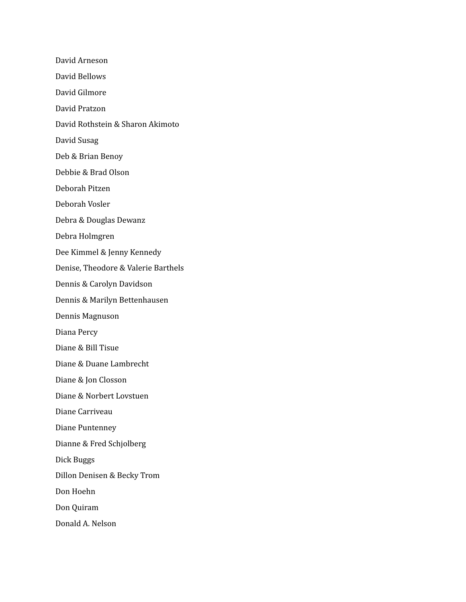David Arneson David Bellows David Gilmore David Pratzon David Rothstein & Sharon Akimoto David Susag Deb & Brian Benoy Debbie & Brad Olson Deborah Pitzen Deborah Vosler Debra & Douglas Dewanz Debra Holmgren Dee Kimmel & Jenny Kennedy Denise, Theodore & Valerie Barthels Dennis & Carolyn Davidson Dennis & Marilyn Bettenhausen Dennis Magnuson Diana Percy Diane & Bill Tisue Diane & Duane Lambrecht Diane & Jon Closson Diane & Norbert Lovstuen Diane Carriveau Diane Puntenney Dianne & Fred Schjolberg Dick Buggs Dillon Denisen & Becky Trom Don Hoehn Don Quiram Donald A. Nelson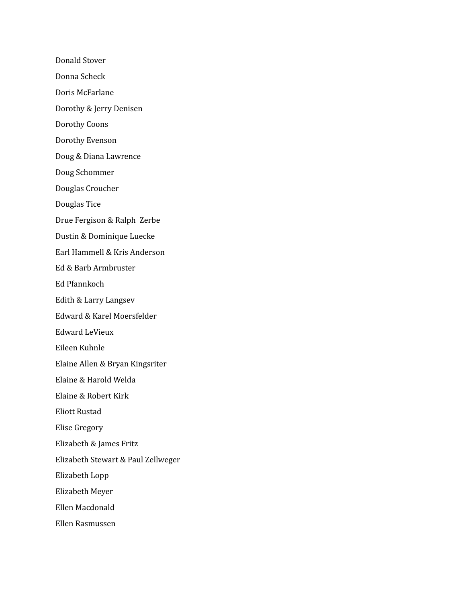Donald Stover Donna Scheck Doris McFarlane Dorothy & Jerry Denisen Dorothy Coons Dorothy Evenson Doug & Diana Lawrence Doug Schommer Douglas Croucher Douglas Tice Drue Fergison & Ralph Zerbe Dustin & Dominique Luecke Earl Hammell & Kris Anderson Ed & Barb Armbruster Ed Pfannkoch Edith & Larry Langsev Edward & Karel Moersfelder Edward LeVieux Eileen Kuhnle Elaine Allen & Bryan Kingsriter Elaine & Harold Welda Elaine & Robert Kirk Eliott Rustad Elise Gregory Elizabeth & James Fritz Elizabeth Stewart & Paul Zellweger Elizabeth Lopp Elizabeth Meyer Ellen Macdonald Ellen Rasmussen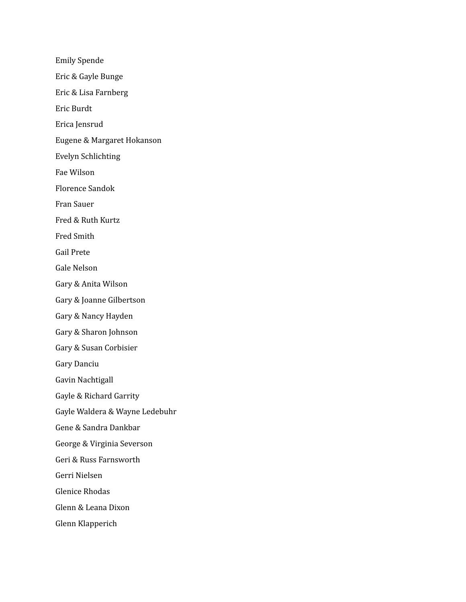Emily Spende Eric & Gayle Bunge Eric & Lisa Farnberg Eric Burdt Erica Jensrud Eugene & Margaret Hokanson Evelyn Schlichting Fae Wilson Florence Sandok Fran Sauer Fred & Ruth Kurtz Fred Smith Gail Prete Gale Nelson Gary & Anita Wilson Gary & Joanne Gilbertson Gary & Nancy Hayden Gary & Sharon Johnson Gary & Susan Corbisier Gary Danciu Gavin Nachtigall Gayle & Richard Garrity Gayle Waldera & Wayne Ledebuhr Gene & Sandra Dankbar George & Virginia Severson Geri & Russ Farnsworth Gerri Nielsen Glenice Rhodas Glenn & Leana Dixon Glenn Klapperich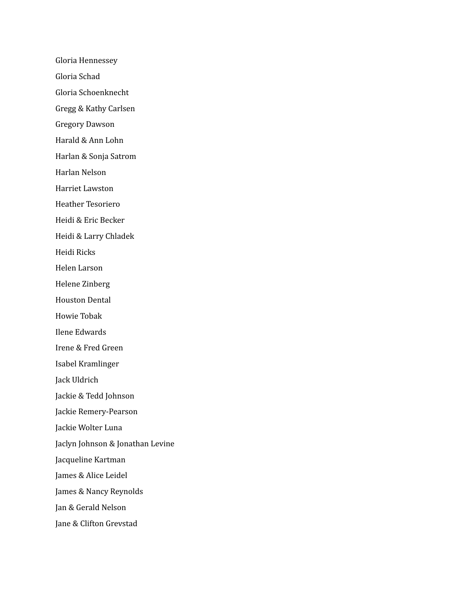Gloria Hennessey Gloria Schad Gloria Schoenknecht Gregg & Kathy Carlsen Gregory Dawson Harald & Ann Lohn Harlan & Sonja Satrom Harlan Nelson Harriet Lawston Heather Tesoriero Heidi & Eric Becker Heidi & Larry Chladek Heidi Ricks Helen Larson Helene Zinberg Houston Dental Howie Tobak Ilene Edwards Irene & Fred Green Isabel Kramlinger Jack Uldrich Jackie & Tedd Johnson Jackie Remery-Pearson Jackie Wolter Luna Jaclyn Johnson & Jonathan Levine Jacqueline Kartman James & Alice Leidel James & Nancy Reynolds Jan & Gerald Nelson Jane & Clifton Grevstad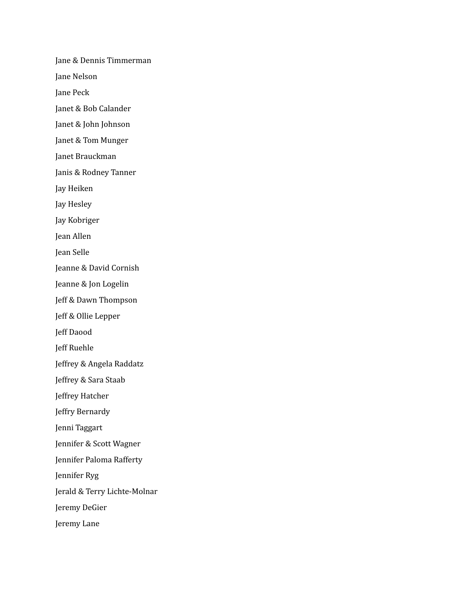Jane & Dennis Timmerman Jane Nelson Jane Peck Janet & Bob Calander Janet & John Johnson Janet & Tom Munger Janet Brauckman Janis & Rodney Tanner Jay Heiken Jay Hesley Jay Kobriger Jean Allen Jean Selle Jeanne & David Cornish Jeanne & Jon Logelin Jeff & Dawn Thompson Jeff & Ollie Lepper Jeff Daood Jeff Ruehle Jeffrey & Angela Raddatz Jeffrey & Sara Staab Jeffrey Hatcher Jeffry Bernardy Jenni Taggart Jennifer & Scott Wagner Jennifer Paloma Rafferty Jennifer Ryg Jerald & Terry Lichte-Molnar Jeremy DeGier Jeremy Lane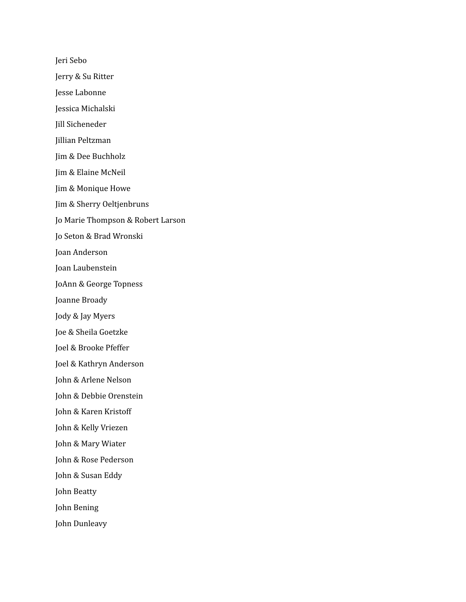Jeri Sebo Jerry & Su Ritter Jesse Labonne Jessica Michalski Jill Sicheneder Jillian Peltzman Jim & Dee Buchholz Jim & Elaine McNeil Jim & Monique Howe Jim & Sherry Oeltjenbruns Jo Marie Thompson & Robert Larson Jo Seton & Brad Wronski Joan Anderson Joan Laubenstein JoAnn & George Topness Joanne Broady Jody & Jay Myers Joe & Sheila Goetzke Joel & Brooke Pfeffer Joel & Kathryn Anderson John & Arlene Nelson John & Debbie Orenstein John & Karen Kristoff John & Kelly Vriezen John & Mary Wiater John & Rose Pederson John & Susan Eddy John Beatty John Bening John Dunleavy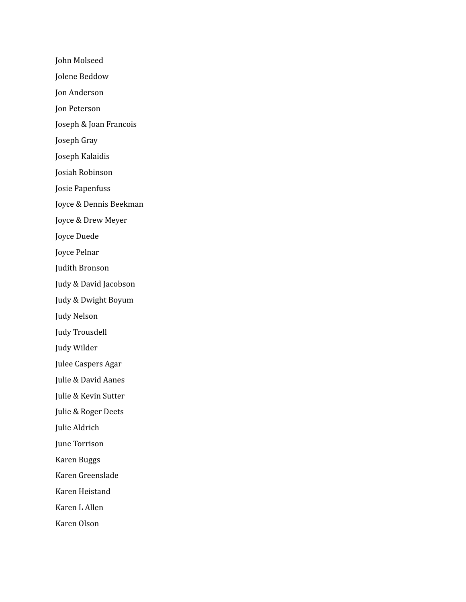John Molseed Jolene Beddow Jon Anderson Jon Peterson Joseph & Joan Francois Joseph Gray Joseph Kalaidis Josiah Robinson Josie Papenfuss Joyce & Dennis Beekman Joyce & Drew Meyer Joyce Duede Joyce Pelnar Judith Bronson Judy & David Jacobson Judy & Dwight Boyum Judy Nelson Judy Trousdell Judy Wilder Julee Caspers Agar Julie & David Aanes Julie & Kevin Sutter Julie & Roger Deets Julie Aldrich June Torrison Karen Buggs Karen Greenslade Karen Heistand Karen L Allen Karen Olson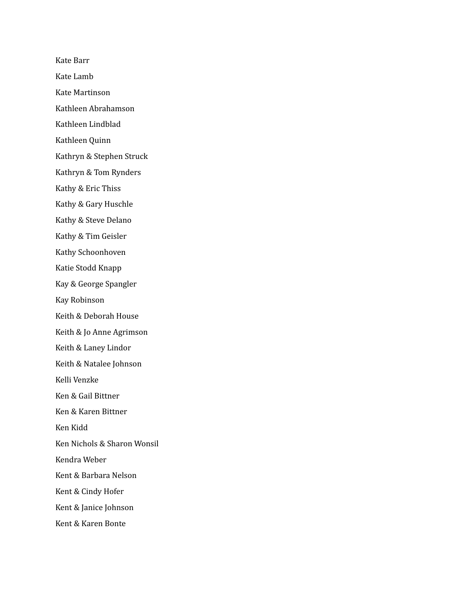Kate Barr Kate Lamb Kate Martinson Kathleen Abrahamson Kathleen Lindblad Kathleen Quinn Kathryn & Stephen Struck Kathryn & Tom Rynders Kathy & Eric Thiss Kathy & Gary Huschle Kathy & Steve Delano Kathy & Tim Geisler Kathy Schoonhoven Katie Stodd Knapp Kay & George Spangler Kay Robinson Keith & Deborah House Keith & Jo Anne Agrimson Keith & Laney Lindor Keith & Natalee Johnson Kelli Venzke Ken & Gail Bittner Ken & Karen Bittner Ken Kidd Ken Nichols & Sharon Wonsil Kendra Weber Kent & Barbara Nelson Kent & Cindy Hofer Kent & Janice Johnson Kent & Karen Bonte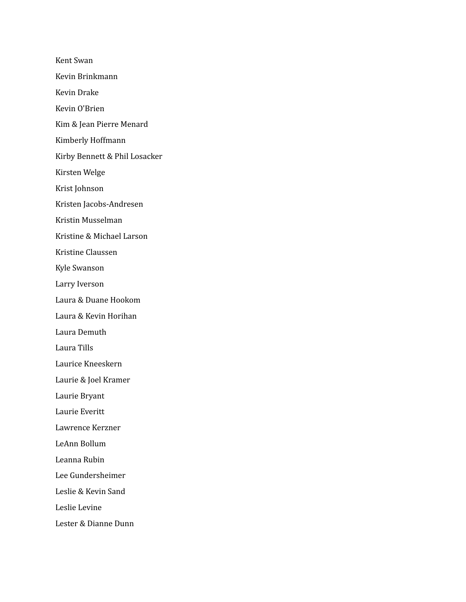Kent Swan Kevin Brinkmann Kevin Drake Kevin O'Brien Kim & Jean Pierre Menard Kimberly Hoffmann Kirby Bennett & Phil Losacker Kirsten Welge Krist Johnson Kristen Jacobs-Andresen Kristin Musselman Kristine & Michael Larson Kristine Claussen Kyle Swanson Larry Iverson Laura & Duane Hookom Laura & Kevin Horihan Laura Demuth Laura Tills Laurice Kneeskern Laurie & Joel Kramer Laurie Bryant Laurie Everitt Lawrence Kerzner LeAnn Bollum Leanna Rubin Lee Gundersheimer Leslie & Kevin Sand Leslie Levine Lester & Dianne Dunn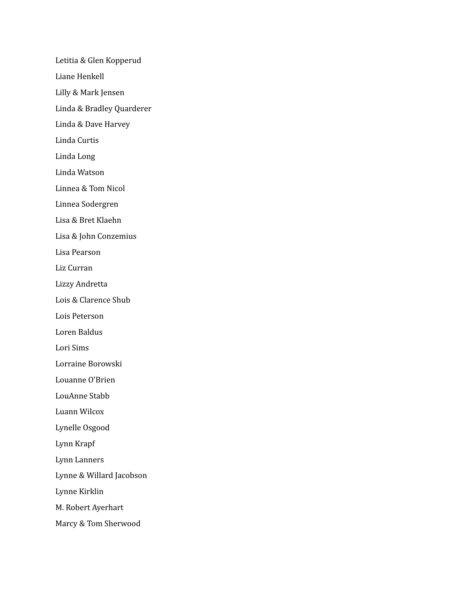Letitia & Glen Kopperud Liane Henkell Lilly & Mark Jensen Linda & Bradley Quarderer Linda & Dave Harvey Linda Curtis Linda Long Linda Watson Linnea & Tom Nicol Linnea Sodergren Lisa & Bret Klaehn Lisa & John Conzemius Lisa Pearson Liz Curran Lizzy Andretta Lois & Clarence Shub Lois Peterson Loren Baldus Lori Sims Lorraine Borowski Louanne O'Brien LouAnne Stabb Luann Wilcox Lynelle Osgood Lynn Krapf Lynn Lanners Lynne & Willard Jacobson Lynne Kirklin M. Robert Ayerhart Marcy & Tom Sherwood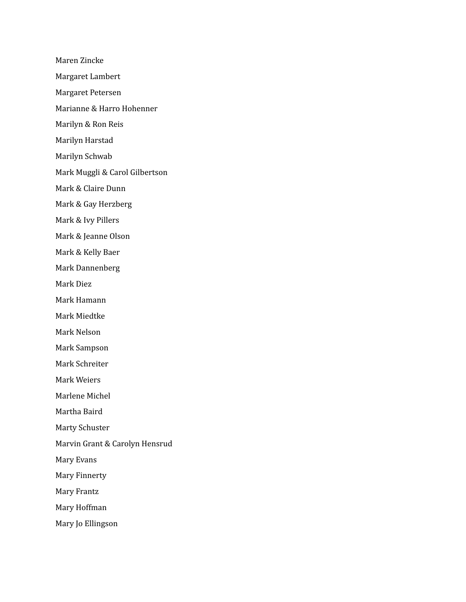Maren Zincke Margaret Lambert Margaret Petersen Marianne & Harro Hohenner Marilyn & Ron Reis Marilyn Harstad Marilyn Schwab Mark Muggli & Carol Gilbertson Mark & Claire Dunn Mark & Gay Herzberg Mark & Ivy Pillers Mark & Jeanne Olson Mark & Kelly Baer Mark Dannenberg Mark Diez Mark Hamann Mark Miedtke Mark Nelson Mark Sampson Mark Schreiter Mark Weiers Marlene Michel Martha Baird Marty Schuster Marvin Grant & Carolyn Hensrud Mary Evans Mary Finnerty

Mary Frantz

Mary Hoffman

Mary Jo Ellingson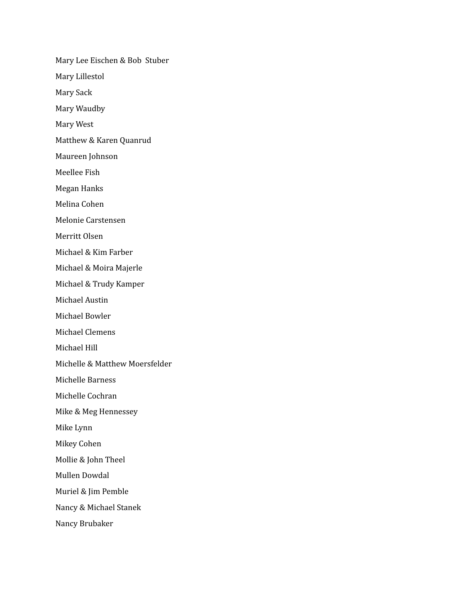Mary Lee Eischen & Bob Stuber Mary Lillestol Mary Sack Mary Waudby Mary West Matthew & Karen Quanrud Maureen Johnson Meellee Fish Megan Hanks Melina Cohen Melonie Carstensen Merritt Olsen Michael & Kim Farber Michael & Moira Majerle Michael & Trudy Kamper Michael Austin Michael Bowler Michael Clemens Michael Hill Michelle & Matthew Moersfelder Michelle Barness Michelle Cochran Mike & Meg Hennessey Mike Lynn Mikey Cohen Mollie & John Theel Mullen Dowdal Muriel & Jim Pemble Nancy & Michael Stanek Nancy Brubaker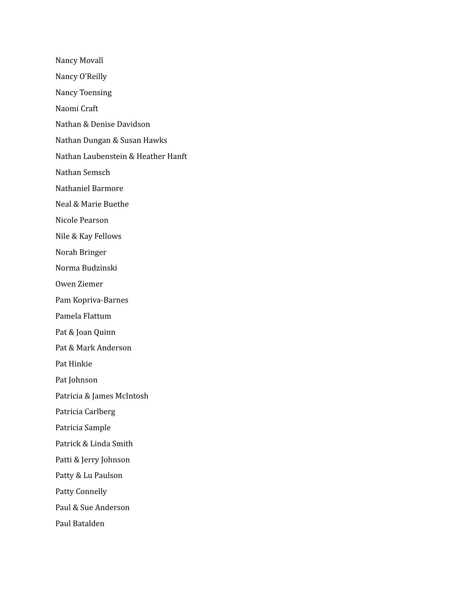Nancy Movall Nancy O'Reilly Nancy Toensing Naomi Craft Nathan & Denise Davidson Nathan Dungan & Susan Hawks Nathan Laubenstein & Heather Hanft Nathan Semsch Nathaniel Barmore Neal & Marie Buethe Nicole Pearson Nile & Kay Fellows Norah Bringer Norma Budzinski Owen Ziemer Pam Kopriva-Barnes Pamela Flattum Pat & Joan Quinn Pat & Mark Anderson Pat Hinkie Pat Johnson Patricia & James McIntosh Patricia Carlberg Patricia Sample Patrick & Linda Smith Patti & Jerry Johnson Patty & Lu Paulson Patty Connelly Paul & Sue Anderson

Paul Batalden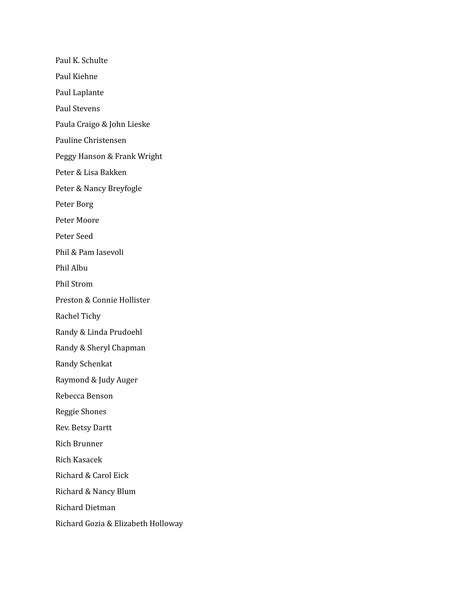Paul K. Schulte Paul Kiehne Paul Laplante Paul Stevens Paula Craigo & John Lieske Pauline Christensen Peggy Hanson & Frank Wright Peter & Lisa Bakken Peter & Nancy Breyfogle Peter Borg Peter Moore Peter Seed Phil & Pam Iasevoli Phil Albu Phil Strom Preston & Connie Hollister Rachel Tichy Randy & Linda Prudoehl Randy & Sheryl Chapman Randy Schenkat Raymond & Judy Auger Rebecca Benson Reggie Shones Rev. Betsy Dartt Rich Brunner Rich Kasacek Richard & Carol Eick Richard & Nancy Blum Richard Dietman Richard Gozia & Elizabeth Holloway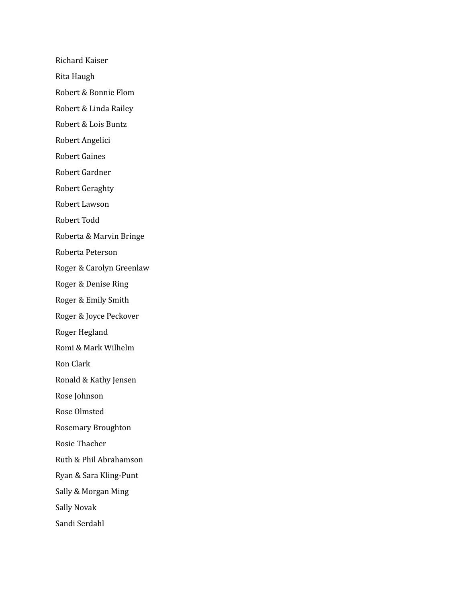Richard Kaiser Rita Haugh Robert & Bonnie Flom Robert & Linda Railey Robert & Lois Buntz Robert Angelici Robert Gaines Robert Gardner Robert Geraghty Robert Lawson Robert Todd Roberta & Marvin Bringe Roberta Peterson Roger & Carolyn Greenlaw Roger & Denise Ring Roger & Emily Smith Roger & Joyce Peckover Roger Hegland Romi & Mark Wilhelm Ron Clark Ronald & Kathy Jensen Rose Johnson Rose Olmsted Rosemary Broughton Rosie Thacher Ruth & Phil Abrahamson Ryan & Sara Kling-Punt Sally & Morgan Ming Sally Novak Sandi Serdahl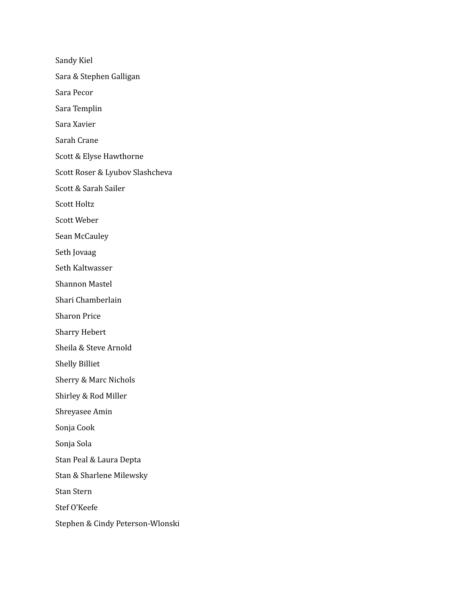Sandy Kiel Sara & Stephen Galligan Sara Pecor Sara Templin Sara Xavier Sarah Crane Scott & Elyse Hawthorne Scott Roser & Lyubov Slashcheva Scott & Sarah Sailer Scott Holtz Scott Weber Sean McCauley Seth Jovaag Seth Kaltwasser Shannon Mastel Shari Chamberlain Sharon Price Sharry Hebert Sheila & Steve Arnold Shelly Billiet Sherry & Marc Nichols Shirley & Rod Miller Shreyasee Amin Sonja Cook Sonja Sola Stan Peal & Laura Depta Stan & Sharlene Milewsky Stan Stern Stef O'Keefe Stephen & Cindy Peterson-Wlonski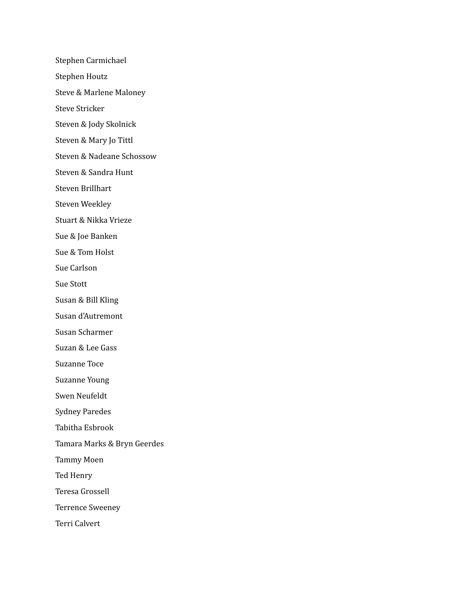Stephen Carmichael Stephen Houtz Steve & Marlene Maloney Steve Stricker Steven & Jody Skolnick Steven & Mary Jo Tittl Steven & Nadeane Schossow Steven & Sandra Hunt Steven Brillhart Steven Weekley Stuart & Nikka Vrieze Sue & Joe Banken Sue & Tom Holst Sue Carlson Sue Stott Susan & Bill Kling Susan d'Autremont Susan Scharmer Suzan & Lee Gass Suzanne Toce Suzanne Young Swen Neufeldt Sydney Paredes Tabitha Esbrook Tamara Marks & Bryn Geerdes Tammy Moen Ted Henry Teresa Grossell Terrence Sweeney Terri Calvert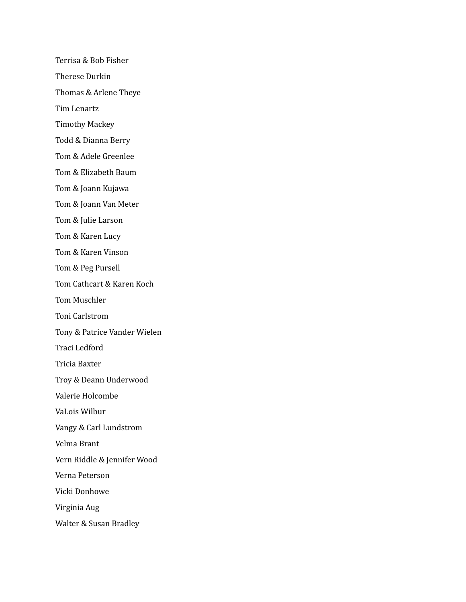Terrisa & Bob Fisher Therese Durkin Thomas & Arlene Theye Tim Lenartz Timothy Mackey Todd & Dianna Berry Tom & Adele Greenlee Tom & Elizabeth Baum Tom & Joann Kujawa Tom & Joann Van Meter Tom & Julie Larson Tom & Karen Lucy Tom & Karen Vinson Tom & Peg Pursell Tom Cathcart & Karen Koch Tom Muschler Toni Carlstrom Tony & Patrice Vander Wielen Traci Ledford Tricia Baxter Troy & Deann Underwood Valerie Holcombe VaLois Wilbur Vangy & Carl Lundstrom Velma Brant Vern Riddle & Jennifer Wood Verna Peterson Vicki Donhowe Virginia Aug Walter & Susan Bradley